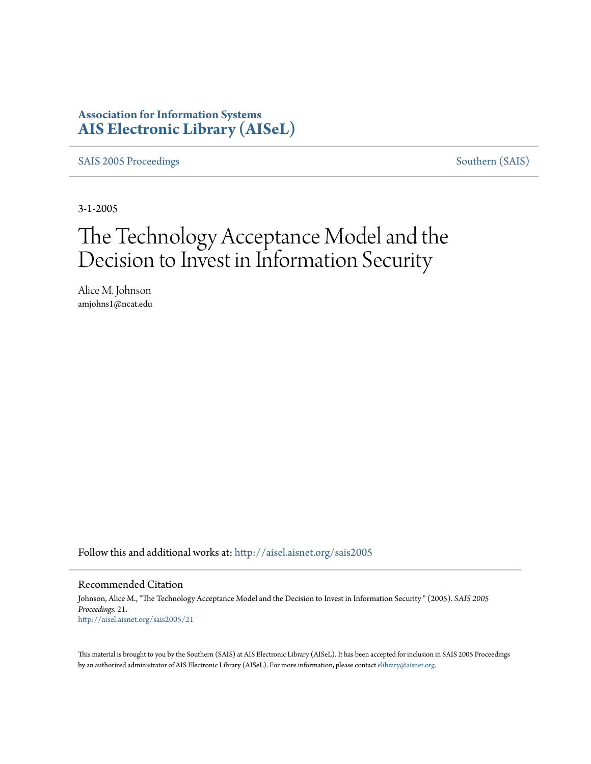### **Association for Information Systems [AIS Electronic Library \(AISeL\)](http://aisel.aisnet.org?utm_source=aisel.aisnet.org%2Fsais2005%2F21&utm_medium=PDF&utm_campaign=PDFCoverPages)**

[SAIS 2005 Proceedings](http://aisel.aisnet.org/sais2005?utm_source=aisel.aisnet.org%2Fsais2005%2F21&utm_medium=PDF&utm_campaign=PDFCoverPages) [Southern \(SAIS\)](http://aisel.aisnet.org/sais?utm_source=aisel.aisnet.org%2Fsais2005%2F21&utm_medium=PDF&utm_campaign=PDFCoverPages)

3-1-2005

# The Technology Acceptance Model and the Decision to Invest in Information Security

Alice M. Johnson amjohns1@ncat.edu

Follow this and additional works at: [http://aisel.aisnet.org/sais2005](http://aisel.aisnet.org/sais2005?utm_source=aisel.aisnet.org%2Fsais2005%2F21&utm_medium=PDF&utm_campaign=PDFCoverPages)

#### Recommended Citation

Johnson, Alice M., "The Technology Acceptance Model and the Decision to Invest in Information Security " (2005). *SAIS 2005 Proceedings*. 21. [http://aisel.aisnet.org/sais2005/21](http://aisel.aisnet.org/sais2005/21?utm_source=aisel.aisnet.org%2Fsais2005%2F21&utm_medium=PDF&utm_campaign=PDFCoverPages)

This material is brought to you by the Southern (SAIS) at AIS Electronic Library (AISeL). It has been accepted for inclusion in SAIS 2005 Proceedings by an authorized administrator of AIS Electronic Library (AISeL). For more information, please contact [elibrary@aisnet.org](mailto:elibrary@aisnet.org%3E).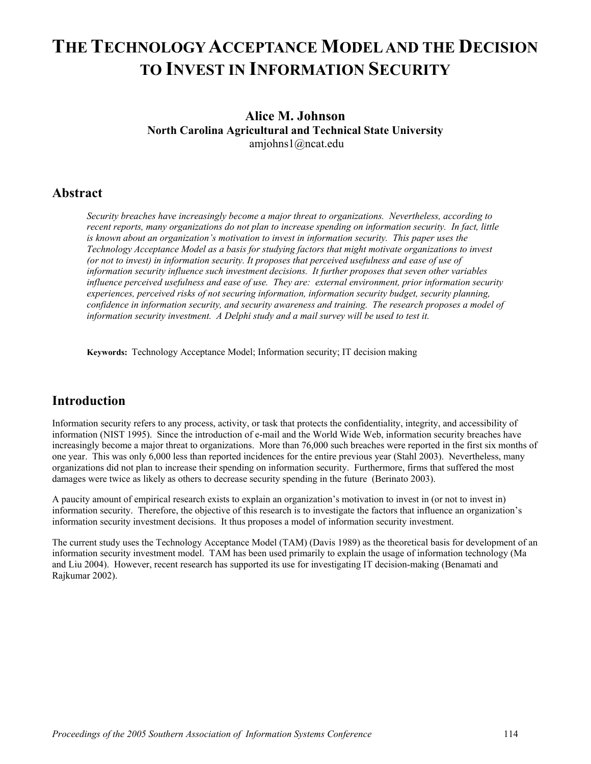## **THE TECHNOLOGY ACCEPTANCE MODEL AND THE DECISION TO INVEST IN INFORMATION SECURITY**

#### **Alice M. Johnson North Carolina Agricultural and Technical State University**  amjohns1@ncat.edu

#### **Abstract**

*Security breaches have increasingly become a major threat to organizations. Nevertheless, according to recent reports, many organizations do not plan to increase spending on information security. In fact, little is known about an organization's motivation to invest in information security. This paper uses the Technology Acceptance Model as a basis for studying factors that might motivate organizations to invest (or not to invest) in information security. It proposes that perceived usefulness and ease of use of information security influence such investment decisions. It further proposes that seven other variables influence perceived usefulness and ease of use. They are: external environment, prior information security experiences, perceived risks of not securing information, information security budget, security planning, confidence in information security, and security awareness and training. The research proposes a model of information security investment. A Delphi study and a mail survey will be used to test it.* 

**Keywords:** Technology Acceptance Model; Information security; IT decision making

### **Introduction**

Information security refers to any process, activity, or task that protects the confidentiality, integrity, and accessibility of information (NIST 1995). Since the introduction of e-mail and the World Wide Web, information security breaches have increasingly become a major threat to organizations. More than 76,000 such breaches were reported in the first six months of one year. This was only 6,000 less than reported incidences for the entire previous year (Stahl 2003). Nevertheless, many organizations did not plan to increase their spending on information security. Furthermore, firms that suffered the most damages were twice as likely as others to decrease security spending in the future (Berinato 2003).

A paucity amount of empirical research exists to explain an organization's motivation to invest in (or not to invest in) information security. Therefore, the objective of this research is to investigate the factors that influence an organization's information security investment decisions. It thus proposes a model of information security investment.

The current study uses the Technology Acceptance Model (TAM) (Davis 1989) as the theoretical basis for development of an information security investment model. TAM has been used primarily to explain the usage of information technology (Ma and Liu 2004). However, recent research has supported its use for investigating IT decision-making (Benamati and Rajkumar 2002).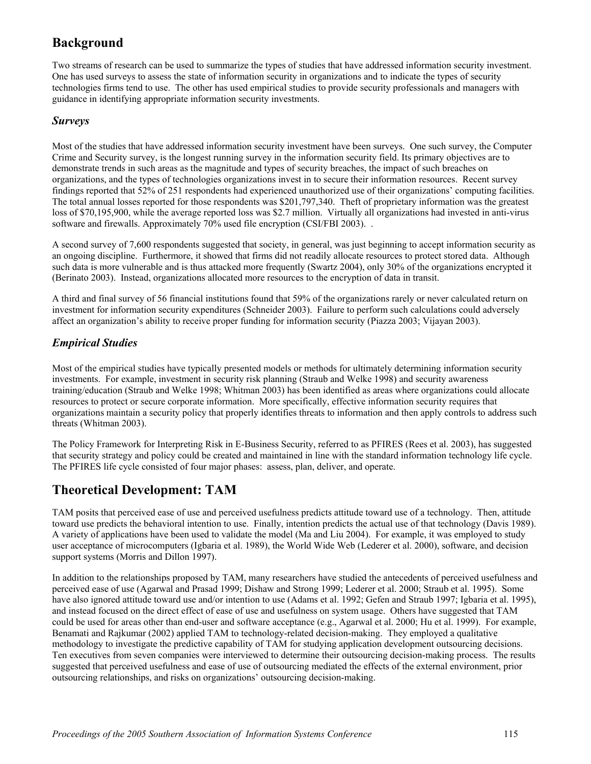## **Background**

Two streams of research can be used to summarize the types of studies that have addressed information security investment. One has used surveys to assess the state of information security in organizations and to indicate the types of security technologies firms tend to use. The other has used empirical studies to provide security professionals and managers with guidance in identifying appropriate information security investments.

#### *Surveys*

Most of the studies that have addressed information security investment have been surveys. One such survey, the Computer Crime and Security survey, is the longest running survey in the information security field. Its primary objectives are to demonstrate trends in such areas as the magnitude and types of security breaches, the impact of such breaches on organizations, and the types of technologies organizations invest in to secure their information resources. Recent survey findings reported that 52% of 251 respondents had experienced unauthorized use of their organizations' computing facilities. The total annual losses reported for those respondents was \$201,797,340. Theft of proprietary information was the greatest loss of \$70,195,900, while the average reported loss was \$2.7 million. Virtually all organizations had invested in anti-virus software and firewalls. Approximately 70% used file encryption (CSI/FBI 2003). .

A second survey of 7,600 respondents suggested that society, in general, was just beginning to accept information security as an ongoing discipline. Furthermore, it showed that firms did not readily allocate resources to protect stored data. Although such data is more vulnerable and is thus attacked more frequently (Swartz 2004), only 30% of the organizations encrypted it (Berinato 2003). Instead, organizations allocated more resources to the encryption of data in transit.

A third and final survey of 56 financial institutions found that 59% of the organizations rarely or never calculated return on investment for information security expenditures (Schneider 2003). Failure to perform such calculations could adversely affect an organization's ability to receive proper funding for information security (Piazza 2003; Vijayan 2003).

### *Empirical Studies*

Most of the empirical studies have typically presented models or methods for ultimately determining information security investments. For example, investment in security risk planning (Straub and Welke 1998) and security awareness training/education (Straub and Welke 1998; Whitman 2003) has been identified as areas where organizations could allocate resources to protect or secure corporate information. More specifically, effective information security requires that organizations maintain a security policy that properly identifies threats to information and then apply controls to address such threats (Whitman 2003).

The Policy Framework for Interpreting Risk in E-Business Security, referred to as PFIRES (Rees et al. 2003), has suggested that security strategy and policy could be created and maintained in line with the standard information technology life cycle. The PFIRES life cycle consisted of four major phases: assess, plan, deliver, and operate.

## **Theoretical Development: TAM**

TAM posits that perceived ease of use and perceived usefulness predicts attitude toward use of a technology. Then, attitude toward use predicts the behavioral intention to use. Finally, intention predicts the actual use of that technology (Davis 1989). A variety of applications have been used to validate the model (Ma and Liu 2004). For example, it was employed to study user acceptance of microcomputers (Igbaria et al. 1989), the World Wide Web (Lederer et al. 2000), software, and decision support systems (Morris and Dillon 1997).

In addition to the relationships proposed by TAM, many researchers have studied the antecedents of perceived usefulness and perceived ease of use (Agarwal and Prasad 1999; Dishaw and Strong 1999; Lederer et al. 2000; Straub et al. 1995). Some have also ignored attitude toward use and/or intention to use (Adams et al. 1992; Gefen and Straub 1997; Igbaria et al. 1995), and instead focused on the direct effect of ease of use and usefulness on system usage. Others have suggested that TAM could be used for areas other than end-user and software acceptance (e.g., Agarwal et al. 2000; Hu et al. 1999). For example, Benamati and Rajkumar (2002) applied TAM to technology-related decision-making. They employed a qualitative methodology to investigate the predictive capability of TAM for studying application development outsourcing decisions. Ten executives from seven companies were interviewed to determine their outsourcing decision-making process. The results suggested that perceived usefulness and ease of use of outsourcing mediated the effects of the external environment, prior outsourcing relationships, and risks on organizations' outsourcing decision-making.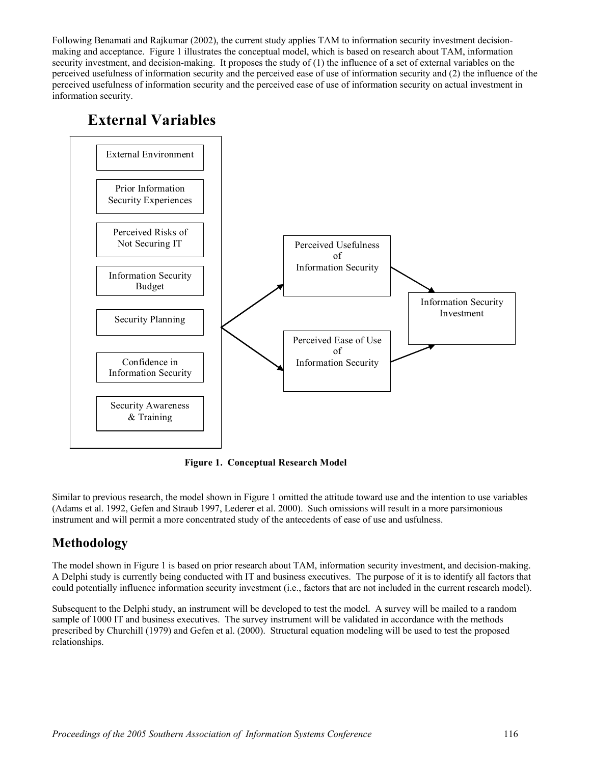Following Benamati and Rajkumar (2002), the current study applies TAM to information security investment decisionmaking and acceptance. Figure 1 illustrates the conceptual model, which is based on research about TAM, information security investment, and decision-making. It proposes the study of (1) the influence of a set of external variables on the perceived usefulness of information security and the perceived ease of use of information security and (2) the influence of the perceived usefulness of information security and the perceived ease of use of information security on actual investment in information security.

## **External Variables**



**Figure 1. Conceptual Research Model** 

Similar to previous research, the model shown in Figure 1 omitted the attitude toward use and the intention to use variables (Adams et al. 1992, Gefen and Straub 1997, Lederer et al. 2000). Such omissions will result in a more parsimonious instrument and will permit a more concentrated study of the antecedents of ease of use and usfulness.

## **Methodology**

The model shown in Figure 1 is based on prior research about TAM, information security investment, and decision-making. A Delphi study is currently being conducted with IT and business executives. The purpose of it is to identify all factors that could potentially influence information security investment (i.e., factors that are not included in the current research model).

Subsequent to the Delphi study, an instrument will be developed to test the model. A survey will be mailed to a random sample of 1000 IT and business executives. The survey instrument will be validated in accordance with the methods prescribed by Churchill (1979) and Gefen et al. (2000). Structural equation modeling will be used to test the proposed relationships.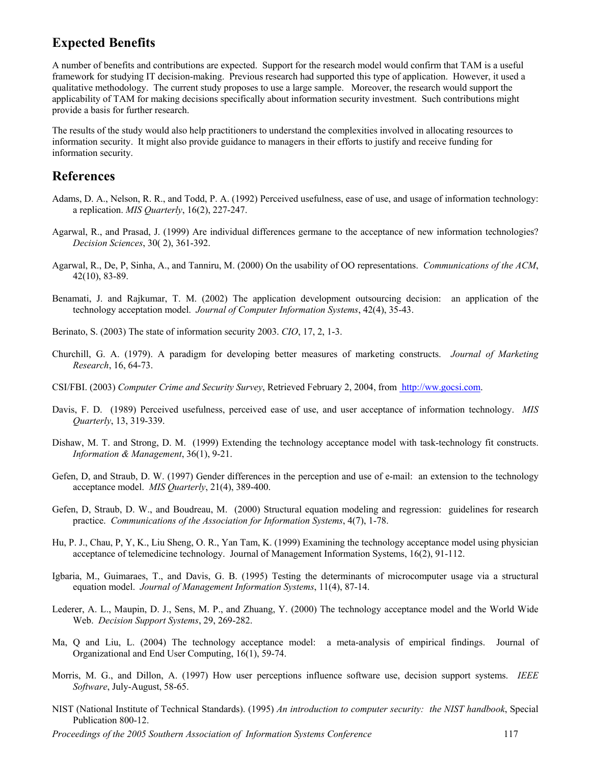### **Expected Benefits**

A number of benefits and contributions are expected. Support for the research model would confirm that TAM is a useful framework for studying IT decision-making. Previous research had supported this type of application. However, it used a qualitative methodology. The current study proposes to use a large sample. Moreover, the research would support the applicability of TAM for making decisions specifically about information security investment. Such contributions might provide a basis for further research.

The results of the study would also help practitioners to understand the complexities involved in allocating resources to information security. It might also provide guidance to managers in their efforts to justify and receive funding for information security.

#### **References**

- Adams, D. A., Nelson, R. R., and Todd, P. A. (1992) Perceived usefulness, ease of use, and usage of information technology: a replication. *MIS Quarterly*, 16(2), 227-247.
- Agarwal, R., and Prasad, J. (1999) Are individual differences germane to the acceptance of new information technologies? *Decision Sciences*, 30( 2), 361-392.
- Agarwal, R., De, P, Sinha, A., and Tanniru, M. (2000) On the usability of OO representations. *Communications of the ACM*, 42(10), 83-89.
- Benamati, J. and Rajkumar, T. M. (2002) The application development outsourcing decision: an application of the technology acceptation model. *Journal of Computer Information Systems*, 42(4), 35-43.

Berinato, S. (2003) The state of information security 2003. *CIO*, 17, 2, 1-3.

- Churchill, G. A. (1979). A paradigm for developing better measures of marketing constructs. *Journal of Marketing Research*, 16, 64-73.
- CSI/FBI. (2003) *Computer Crime and Security Survey*, Retrieved February 2, 2004, from [http://ww.gocsi.com.](http://ww.gocsi.com/)
- Davis, F. D. (1989) Perceived usefulness, perceived ease of use, and user acceptance of information technology. *MIS Quarterly*, 13, 319-339.
- Dishaw, M. T. and Strong, D. M. (1999) Extending the technology acceptance model with task-technology fit constructs. *Information & Management*, 36(1), 9-21.
- Gefen, D, and Straub, D. W. (1997) Gender differences in the perception and use of e-mail: an extension to the technology acceptance model. *MIS Quarterly*, 21(4), 389-400.
- Gefen, D, Straub, D. W., and Boudreau, M. (2000) Structural equation modeling and regression: guidelines for research practice. *Communications of the Association for Information Systems*, 4(7), 1-78.
- Hu, P. J., Chau, P, Y, K., Liu Sheng, O. R., Yan Tam, K. (1999) Examining the technology acceptance model using physician acceptance of telemedicine technology. Journal of Management Information Systems, 16(2), 91-112.
- Igbaria, M., Guimaraes, T., and Davis, G. B. (1995) Testing the determinants of microcomputer usage via a structural equation model. *Journal of Management Information Systems*, 11(4), 87-14.
- Lederer, A. L., Maupin, D. J., Sens, M. P., and Zhuang, Y. (2000) The technology acceptance model and the World Wide Web. *Decision Support Systems*, 29, 269-282.
- Ma, Q and Liu, L. (2004) The technology acceptance model: a meta-analysis of empirical findings. Journal of Organizational and End User Computing, 16(1), 59-74.
- Morris, M. G., and Dillon, A. (1997) How user perceptions influence software use, decision support systems. *IEEE Software*, July-August, 58-65.
- NIST (National Institute of Technical Standards). (1995) *An introduction to computer security: the NIST handbook*, Special Publication 800-12.